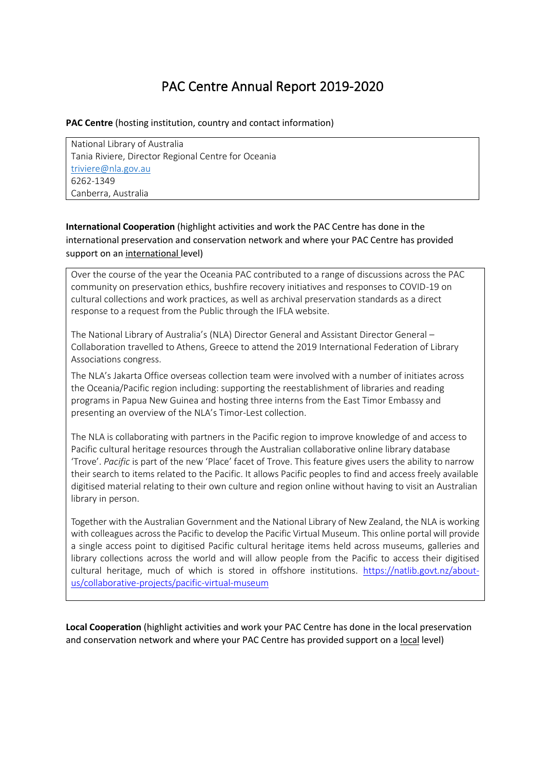## PAC Centre Annual Report 2019-2020

## **PAC Centre** (hosting institution, country and contact information)

National Library of Australia Tania Riviere, Director Regional Centre for Oceania [triviere@nla.gov.au](mailto:triviere@nla.gov.au) 6262-1349 Canberra, Australia

**International Cooperation** (highlight activities and work the PAC Centre has done in the international preservation and conservation network and where your PAC Centre has provided support on an international level)

Over the course of the year the Oceania PAC contributed to a range of discussions across the PAC community on preservation ethics, bushfire recovery initiatives and responses to COVID-19 on cultural collections and work practices, as well as archival preservation standards as a direct response to a request from the Public through the IFLA website.

The National Library of Australia's (NLA) Director General and Assistant Director General – Collaboration travelled to Athens, Greece to attend the 2019 International Federation of Library Associations congress.

The NLA's Jakarta Office overseas collection team were involved with a number of initiates across the Oceania/Pacific region including: supporting the reestablishment of libraries and reading programs in Papua New Guinea and hosting three interns from the East Timor Embassy and presenting an overview of the NLA's Timor-Lest collection.

The NLA is collaborating with partners in the Pacific region to improve knowledge of and access to Pacific cultural heritage resources through the Australian collaborative online library database 'Trove'. *Pacific* is part of the new 'Place' facet of Trove. This feature gives users the ability to narrow their search to items related to the Pacific. It allows Pacific peoples to find and access freely available digitised material relating to their own culture and region online without having to visit an Australian library in person.

Together with the Australian Government and the National Library of New Zealand, the NLA is working with colleagues across the Pacific to develop the Pacific Virtual Museum. This online portal will provide a single access point to digitised Pacific cultural heritage items held across museums, galleries and library collections across the world and will allow people from the Pacific to access their digitised cultural heritage, much of which is stored in offshore institutions. [https://natlib.govt.nz/about](https://natlib.govt.nz/about-us/collaborative-projects/pacific-virtual-museum)[us/collaborative-projects/pacific-virtual-museum](https://natlib.govt.nz/about-us/collaborative-projects/pacific-virtual-museum)

**Local Cooperation** (highlight activities and work your PAC Centre has done in the local preservation and conservation network and where your PAC Centre has provided support on a local level)